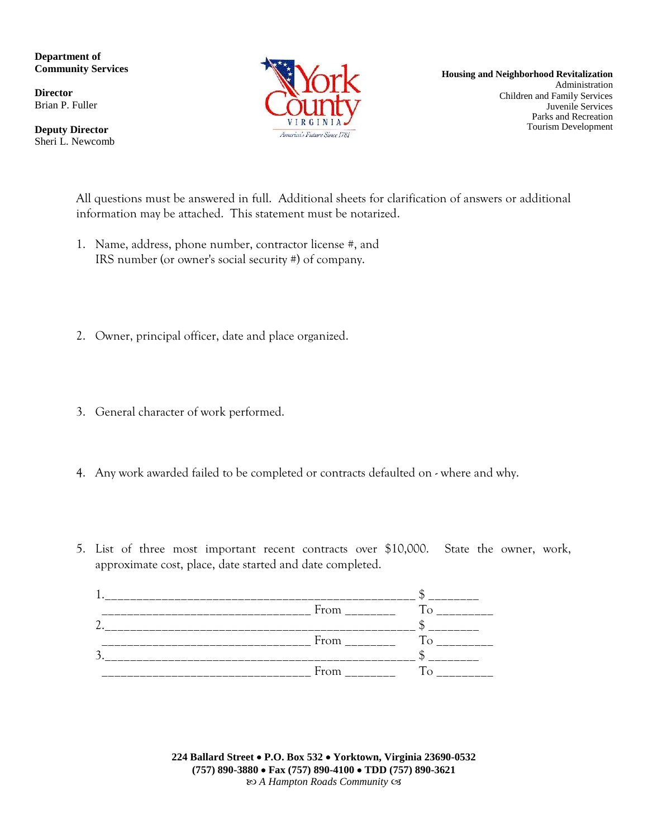**Department of Community Services**

**Director** Brian P. Fuller

**Deputy Director** Sheri L. Newcomb



**Housing and Neighborhood Revitalization** Administration Children and Family Services Juvenile Services Parks and Recreation Tourism Development

All questions must be answered in full. Additional sheets for clarification of answers or additional information may be attached. This statement must be notarized.

- 1. Name, address, phone number, contractor license #, and IRS number (or owner's social security #) of company.
- 2. Owner, principal officer, date and place organized.
- 3. General character of work performed.
- 4. Any work awarded failed to be completed or contracts defaulted on where and why.
- 5. List of three most important recent contracts over \$10,000. State the owner, work, approximate cost, place, date started and date completed.

**224 Ballard Street P.O. Box 532 Yorktown, Virginia 23690-0532 (757) 890-3880 Fax (757) 890-4100 TDD (757) 890-3621** *A Hampton Roads Community*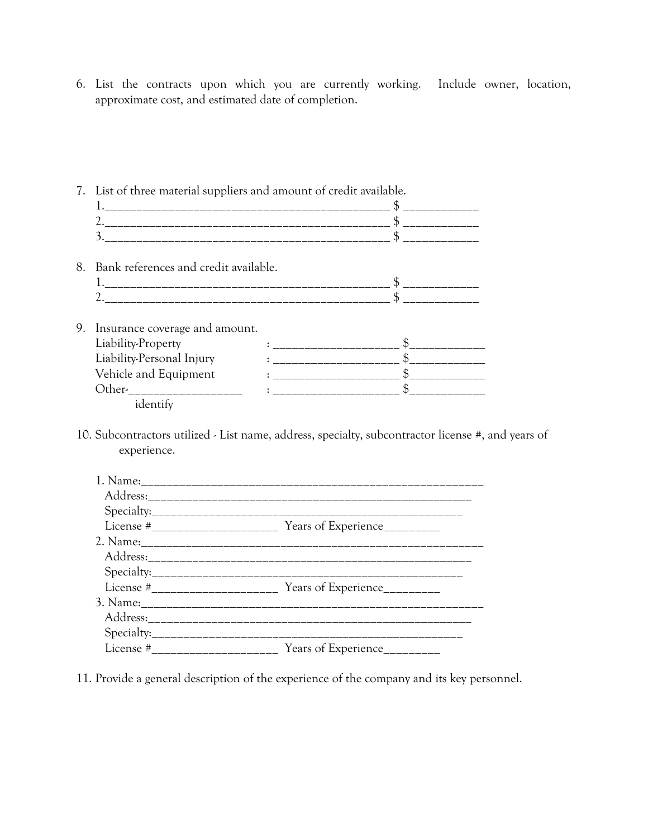6. List the contracts upon which you are currently working. Include owner, location, approximate cost, and estimated date of completion.

|  | 7. List of three material suppliers and amount of credit available. |  |  |  |
|--|---------------------------------------------------------------------|--|--|--|
|  |                                                                     |  |  |  |
|  |                                                                     |  |  |  |
|  |                                                                     |  |  |  |
|  | 8. Bank references and credit available.                            |  |  |  |
|  |                                                                     |  |  |  |
|  |                                                                     |  |  |  |
|  | 9. Insurance coverage and amount.                                   |  |  |  |
|  | Liability-Property                                                  |  |  |  |
|  | Liability-Personal Injury                                           |  |  |  |
|  | Vehicle and Equipment                                               |  |  |  |
|  | Other- _______________                                              |  |  |  |
|  | identify                                                            |  |  |  |

10. Subcontractors utilized - List name, address, specialty, subcontractor license #, and years of experience.

| Years of Experience<br>License # ______________ |
|-------------------------------------------------|

11. Provide a general description of the experience of the company and its key personnel.